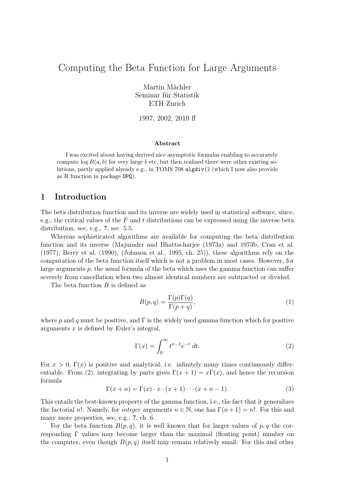# Computing the Beta Function for Large Arguments

Martin Mächler Seminar für Statistik ETH Zurich

1997, 2002, 2019 ff

#### Abstract

I was excited about having derived nice asymptotic formulas enabling to accurately compute  $\log B(a, b)$  for very large b etc, but then realized there were other existing solutions, partly applied already e.g., in TOMS 708 algdiv() (which I now also provide as R function in package DPQ).

### 1 Introduction

The beta distribution function and its inverse are widely used in statistical software, since, e.g., the critical values of the F and t distributions can be expressed using the inverse beta distribution, see, e.g., ?, sec. 5.5.

Whereas sophisticated algorithms are available for computing the beta distribution function and its inverse (Majumder and Bhattacharjee (1973a) and 1973b, Cran et al. (1977); Berry et al. (1990), (Johnson et al., 1995, ch. 25)), these algorithms rely on the computation of the beta function itself which is not a problem in most cases. However, for large arguments  $p$ , the usual formula of the beta which uses the gamma function can suffer severely from cancellation when two almost identical numbers are subtracted or divided.

The beta function  $B$  is defined as

$$
B(p,q) = \frac{\Gamma(p)\Gamma(q)}{\Gamma(p+q)},\tag{1}
$$

where p and q must be positive, and  $\Gamma$  is the widely used gamma function which for positive arguments  $x$  is defined by Euler's integral,

$$
\Gamma(x) = \int_0^\infty t^{x-1} e^{-t} dt.
$$
\n(2)

For  $x > 0$ ,  $\Gamma(x)$  is positive and analytical, i.e. infinitely many times continuously differentiable. From (2), integrating by parts gives  $\Gamma(x+1) = x\Gamma(x)$ , and hence the recursion formula

$$
\Gamma(x+n) = \Gamma(x) \cdot x \cdot (x+1) \cdots (x+n-1). \tag{3}
$$

This entails the best-known property of the gamma function, i.e., the fact that it generalizes the factorial n!. Namely, for *integer* arguments  $n \in \mathbb{N}$ , one has  $\Gamma(n+1) = n!$ . For this and many more properties, see, e.g., ?, ch. 6.

For the beta function  $B(p, q)$ , it is well known that for larger values of p, q the corresponding Γ values may become larger than the maximal (floating point) number on the computer, even though  $B(p, q)$  itself may remain relatively small. For this and other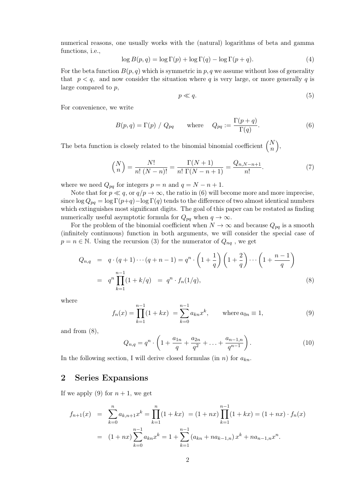numerical reasons, one usually works with the (natural) logarithms of beta and gamma functions, i.e.,

$$
\log B(p,q) = \log \Gamma(p) + \log \Gamma(q) - \log \Gamma(p+q). \tag{4}
$$

For the beta function  $B(p,q)$  which is symmetric in p, q we assume without loss of generality that  $p < q$ , and now consider the situation where q is very large, or more generally q is large compared to p,

$$
p \ll q.\tag{5}
$$

For convenience, we write

$$
B(p,q) = \Gamma(p) / Q_{pq} \quad \text{where} \quad Q_{pq} := \frac{\Gamma(p+q)}{\Gamma(q)}.
$$
 (6)

The beta function is closely related to the binomial binomial coefficient  $\binom{N}{n}$  $\big),$ 

$$
\binom{N}{n} = \frac{N!}{n! \ (N-n)!} = \frac{\Gamma(N+1)}{n! \ \Gamma(N-n+1)} = \frac{Q_{n,N-n+1}}{n!}.
$$
 (7)

where we need  $Q_{pq}$  for integers  $p = n$  and  $q = N - n + 1$ .

Note that for  $p \ll q$ , or  $q/p \to \infty$ , the ratio in (6) will become more and more imprecise, since  $\log Q_{pq} = \log \Gamma(p+q) - \log \Gamma(q)$  tends to the difference of two almost identical numbers which extinguishes most significant digits. The goal of this paper can be restated as finding numerically useful asymptotic formula for  $Q_{pq}$  when  $q \to \infty$ .

For the problem of the binomial coefficient when  $N \to \infty$  and because  $Q_{pq}$  is a smooth (infinitely continuous) function in both arguments, we will consider the special case of  $p = n \in \mathbb{N}$ . Using the recursion (3) for the numerator of  $Q_{nq}$ , we get

$$
Q_{n,q} = q \cdot (q+1) \cdots (q+n-1) = q^n \cdot \left(1 + \frac{1}{q}\right) \left(1 + \frac{2}{q}\right) \cdots \left(1 + \frac{n-1}{q}\right)
$$
  
=  $q^n \prod_{k=1}^{n-1} (1 + k/q) = q^n \cdot f_n(1/q),$  (8)

where

$$
f_n(x) = \prod_{k=1}^{n-1} (1 + kx) = \sum_{k=0}^{n-1} a_{kn} x^k, \quad \text{where } a_{0n} \equiv 1,
$$
 (9)

and from (8),

$$
Q_{n,q} = q^n \cdot \left(1 + \frac{a_{1n}}{q} + \frac{a_{2n}}{q^2} + \ldots + \frac{a_{n-1,n}}{q^{n-1}}\right). \tag{10}
$$

In the following section, I will derive closed formulas (in n) for  $a_{kn}$ .

### 2 Series Expansions

If we apply (9) for  $n + 1$ , we get

$$
f_{n+1}(x) = \sum_{k=0}^{n} a_{k,n+1} x^k = \prod_{k=1}^{n} (1 + kx) = (1 + nx) \prod_{k=1}^{n-1} (1 + kx) = (1 + nx) \cdot f_n(x)
$$
  
= 
$$
(1 + nx) \sum_{k=0}^{n-1} a_{kn} x^k = 1 + \sum_{k=1}^{n-1} (a_{kn} + na_{k-1,n}) x^k + na_{n-1,n} x^n.
$$